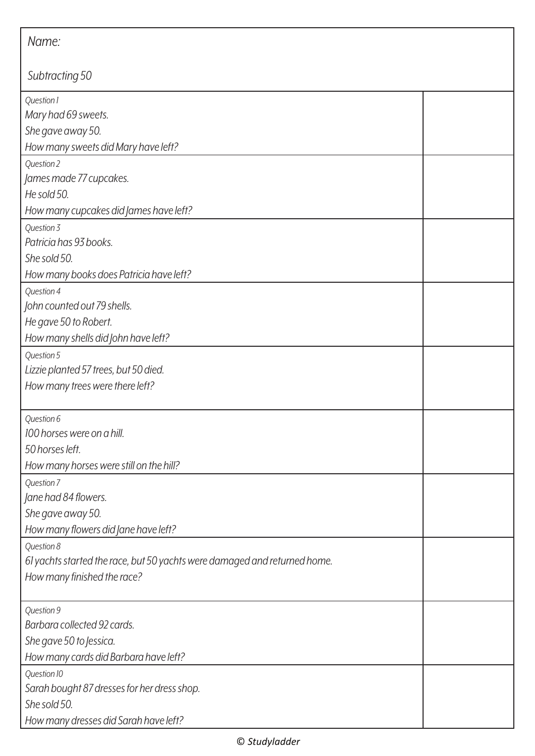| Name:                                                                                                                  |  |  |
|------------------------------------------------------------------------------------------------------------------------|--|--|
| Subtracting 50                                                                                                         |  |  |
| Question 1<br>Mary had 69 sweets.<br>She gave away 50.<br>How many sweets did Mary have left?                          |  |  |
| Question 2<br>James made 77 cupcakes.<br>He sold 50.<br>How many cupcakes did James have left?                         |  |  |
| Question 3<br>Patricia has 93 books.<br>She sold 50.<br>How many books does Patricia have left?                        |  |  |
| Question 4<br>John counted out 79 shells.<br>He gave 50 to Robert.<br>How many shells did John have left?              |  |  |
| Question 5<br>Lizzie planted 57 trees, but 50 died.<br>How many trees were there left?                                 |  |  |
| Question 6<br>100 horses were on a hill.<br>50 horses left.<br>How many horses were still on the hill?                 |  |  |
| Question 7<br>Jane had 84 flowers.<br>She gave away 50.<br>How many flowers did Jane have left?                        |  |  |
| Question 8<br>61 yachts started the race, but 50 yachts were damaged and returned home.<br>How many finished the race? |  |  |
| Question 9<br>Barbara collected 92 cards.<br>She gave 50 to Jessica.<br>How many cards did Barbara have left?          |  |  |
| Question 10<br>Sarah bought 87 dresses for her dress shop.<br>She sold 50.<br>How many dresses did Sarah have left?    |  |  |